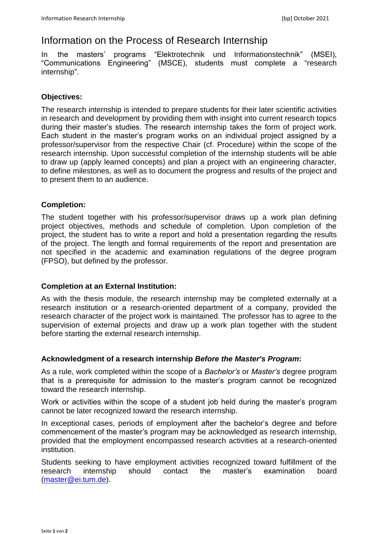# Information on the Process of Research Internship

In the masters' programs "Elektrotechnik und Informationstechnik" (MSEI), "Communications Engineering" (MSCE), students must complete a "research internship".

# **Objectives:**

The research internship is intended to prepare students for their later scientific activities in research and development by providing them with insight into current research topics during their master's studies. The research internship takes the form of project work. Each student in the master's program works on an individual project assigned by a professor/supervisor from the respective Chair (cf. Procedure) within the scope of the research internship. Upon successful completion of the internship students will be able to draw up (apply learned concepts) and plan a project with an engineering character, to define milestones, as well as to document the progress and results of the project and to present them to an audience.

## **Completion:**

The student together with his professor/supervisor draws up a work plan defining project objectives, methods and schedule of completion. Upon completion of the project, the student has to write a report and hold a presentation regarding the results of the project. The length and formal requirements of the report and presentation are not specified in the academic and examination regulations of the degree program (FPSO), but defined by the professor.

#### **Completion at an External Institution:**

As with the thesis module, the research internship may be completed externally at a research institution or a research-oriented department of a company, provided the research character of the project work is maintained. The professor has to agree to the supervision of external projects and draw up a work plan together with the student before starting the external research internship.

# **Acknowledgment of a research internship** *Before the Master's Program***:**

As a rule, work completed within the scope of a *Bachelor's* or *Master's* degree program that is a prerequisite for admission to the master's program cannot be recognized toward the research internship.

Work or activities within the scope of a student job held during the master's program cannot be later recognized toward the research internship.

In exceptional cases, periods of employment after the bachelor's degree and before commencement of the master's program may be acknowledged as research internship, provided that the employment encompassed research activities at a research-oriented institution.

Students seeking to have employment activities recognized toward fulfillment of the research internship should contact the master's examination board [\(master@ei.tum.de\)](mailto:master@ei.tum.de).